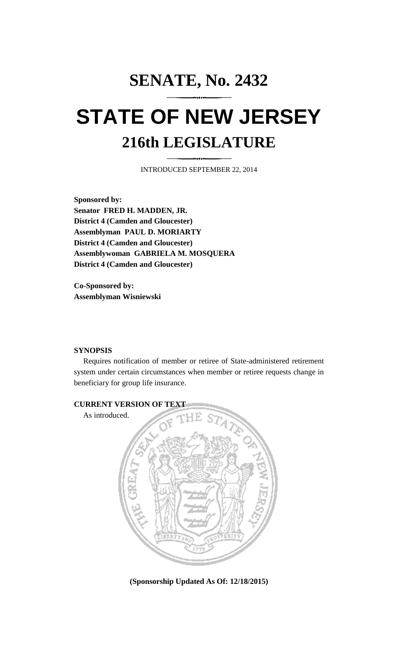## **SENATE, No. 2432 STATE OF NEW JERSEY 216th LEGISLATURE**

INTRODUCED SEPTEMBER 22, 2014

**Sponsored by: Senator FRED H. MADDEN, JR. District 4 (Camden and Gloucester) Assemblyman PAUL D. MORIARTY District 4 (Camden and Gloucester) Assemblywoman GABRIELA M. MOSQUERA District 4 (Camden and Gloucester)**

**Co-Sponsored by: Assemblyman Wisniewski**

## **SYNOPSIS**

Requires notification of member or retiree of State-administered retirement system under certain circumstances when member or retiree requests change in beneficiary for group life insurance.



**(Sponsorship Updated As Of: 12/18/2015)**